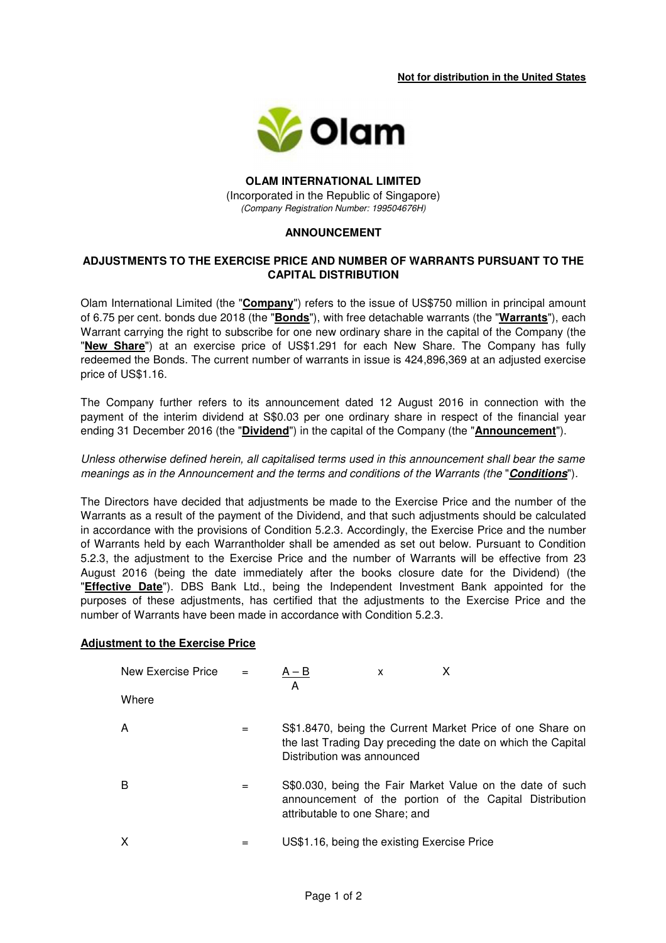**Not for distribution in the United States** 



### **OLAM INTERNATIONAL LIMITED**  (Incorporated in the Republic of Singapore) (Company Registration Number: 199504676H)

### **ANNOUNCEMENT**

# **ADJUSTMENTS TO THE EXERCISE PRICE AND NUMBER OF WARRANTS PURSUANT TO THE CAPITAL DISTRIBUTION**

Olam International Limited (the "**Company**") refers to the issue of US\$750 million in principal amount of 6.75 per cent. bonds due 2018 (the "**Bonds**"), with free detachable warrants (the "**Warrants**"), each Warrant carrying the right to subscribe for one new ordinary share in the capital of the Company (the "**New Share**") at an exercise price of US\$1.291 for each New Share. The Company has fully redeemed the Bonds. The current number of warrants in issue is 424,896,369 at an adjusted exercise price of US\$1.16.

The Company further refers to its announcement dated 12 August 2016 in connection with the payment of the interim dividend at S\$0.03 per one ordinary share in respect of the financial year ending 31 December 2016 (the "**Dividend**") in the capital of the Company (the "**Announcement**").

## Unless otherwise defined herein, all capitalised terms used in this announcement shall bear the same meanings as in the Announcement and the terms and conditions of the Warrants (the "**Conditions**").

The Directors have decided that adjustments be made to the Exercise Price and the number of the Warrants as a result of the payment of the Dividend, and that such adjustments should be calculated in accordance with the provisions of Condition 5.2.3. Accordingly, the Exercise Price and the number of Warrants held by each Warrantholder shall be amended as set out below. Pursuant to Condition 5.2.3, the adjustment to the Exercise Price and the number of Warrants will be effective from 23 August 2016 (being the date immediately after the books closure date for the Dividend) (the "**Effective Date**"). DBS Bank Ltd., being the Independent Investment Bank appointed for the purposes of these adjustments, has certified that the adjustments to the Exercise Price and the number of Warrants have been made in accordance with Condition 5.2.3.

#### **Adjustment to the Exercise Price**

| New Exercise Price $=$ |     | $A - B$<br>A                                | X |                                                                                                                           |
|------------------------|-----|---------------------------------------------|---|---------------------------------------------------------------------------------------------------------------------------|
| Where                  |     |                                             |   |                                                                                                                           |
| A                      | $=$ | Distribution was announced                  |   | S\$1.8470, being the Current Market Price of one Share on<br>the last Trading Day preceding the date on which the Capital |
| В                      | =   | attributable to one Share; and              |   | S\$0.030, being the Fair Market Value on the date of such<br>announcement of the portion of the Capital Distribution      |
| х                      | =   | US\$1.16, being the existing Exercise Price |   |                                                                                                                           |